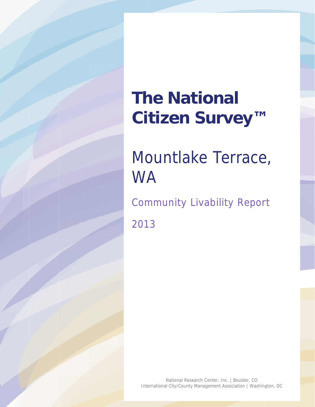# **The National** Citizen Survey™

# Mountlake Terrace, **WA**

**Community Livability Report** 2013

National Research Center, Inc. | Boulder, CO International City/County Management Association | Washington, DC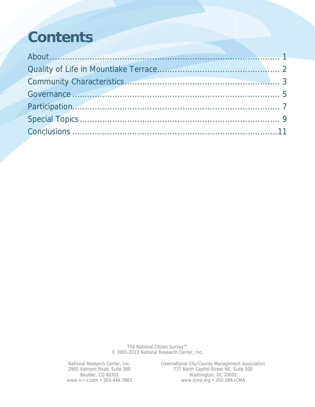# **Contents**

The National Citizen Survey™ © 2001-2013 National Research Center, Inc.

National Research Center, Inc. 2955 Valmont Road, Suite 300 Boulder, CO 80301 www.n-r-c.com • 303-444-7863 International City/County Management Association<br>777 North Capitol Street NE, Suite 500 Washington, DC 20002 www.icma.org · 202-289-ICMA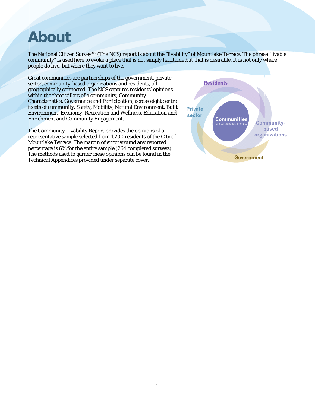### **About**

The National Citizen Survey™ (The NCS) report is about the "livability" of Mountlake Terrace. The phrase "livable community" is used here to evoke a place that is not simply habitable but that is desirable. It is not only where people do live, but where they want to live.

Great communities are partnerships of the government, private sector, community-based organizations and residents, all geographically connected. The NCS captures residents' opinions within the three pillars of a community, Community Characteristics, Governance and Participation, across eight central facets of community, Safety, Mobility, Natural Environment, Built Environment, Economy, Recreation and Wellness, Education and **Enrichment and Community Engagement.** 

The Community Livability Report provides the opinions of a representative sample selected from 1,200 residents of the City of Mountlake Terrace. The margin of error around any reported percentage is 6% for the entire sample (264 completed surveys). The methods used to garner these opinions can be found in the Technical Appendices provided under separate cover.

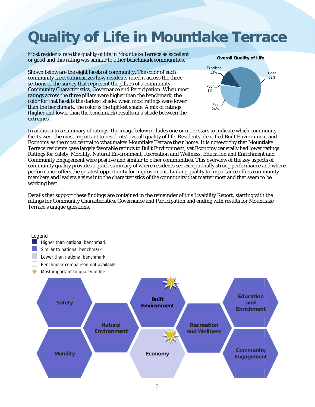# **Quality of Life in Mountlake Terrace**

Most residents rate the quality of life in Mountlake Terrace as excellent or good and this rating was similar to other benchmark communities.

Shown below are the eight facets of community. The color of each community facet summarizes how residents rated it across the three sections of the survey that represent the pillars of a community -Community Characteristics, Governance and Participation. When most ratings across the three pillars were higher than the benchmark, the color for that facet is the darkest shade; when most ratings were lower than the benchmark, the color is the lightest shade. A mix of ratings (higher and lower than the benchmark) results in a shade between the extremes.



In addition to a summary of ratings, the image below includes one or more stars to indicate which community facets were the most important to residents' overall quality of life. Residents identified Built Environment and Economy as the most central to what makes Mountlake Terrace their home. It is noteworthy that Mountlake Terrace residents gave largely favorable ratings to Built Environment, yet Economy generally had lower ratings. Ratings for Safety, Mobility, Natural Environment, Recreation and Wellness, Education and Enrichment and Community Engagement were positive and similar to other communities. This overview of the key aspects of community quality provides a quick summary of where residents see exceptionally strong performance and where performance offers the greatest opportunity for improvement. Linking quality to importance offers community members and leaders a view into the characteristics of the community that matter most and that seem to be working best.

Details that support these findings are contained in the remainder of this Livability Report, starting with the ratings for Community Characteristics, Governance and Participation and ending with results for Mountlake Terrace's unique questions.

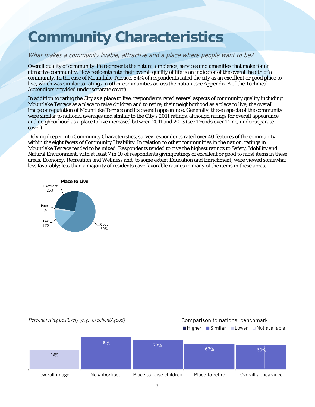# **Community Characteristics**

#### What makes a community livable, attractive and a place where people want to be?

Overall quality of community life represents the natural ambience, services and amenities that make for an attractive community. How residents rate their overall quality of life is an indicator of the overall health of a community. In the case of Mountlake Terrace, 84% of respondents rated the city as an excellent or good place to live, which was similar to ratings in other communities across the nation (see Appendix B of the Technical *Appendices* provided under separate cover).

In addition to rating the City as a place to live, respondents rated several aspects of community quality including Mountlake Terrace as a place to raise children and to retire, their neighborhood as a place to live, the overall image or reputation of Mountlake Terrace and its overall appearance. Generally, these aspects of the community were similar to national averages and similar to the City's 2011 ratings, although ratings for overall appearance and neighborhood as a place to live increased between 2011 and 2013 (see Trends over Time, under separate cover).

Delving deeper into Community Characteristics, survey respondents rated over 40 features of the community within the eight facets of Community Livability. In relation to other communities in the nation, ratings in Mountlake Terrace tended to be mixed. Respondents tended to give the highest ratings to Safety, Mobility and Natural Environment, with at least 7 in 10 of respondents giving ratings of excellent or good to most items in these areas. Economy, Recreation and Wellness and, to some extent Education and Enrichment, were viewed somewhat less favorably; less than a majority of residents gave favorable ratings in many of the items in these areas.



#### Percent rating positively (e.g., excellent/good)

#### Comparison to national benchmark

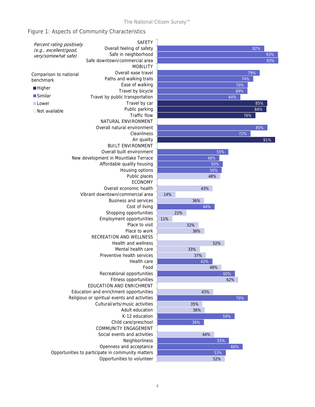### Figure 1: Aspects of Community Characteristics

| Percent rating positively                         | <b>SAFETY</b>                                |     |     |     |     |     |     |     |
|---------------------------------------------------|----------------------------------------------|-----|-----|-----|-----|-----|-----|-----|
| (e.g., excellent/good,                            | Overall feeling of safety                    |     |     |     |     |     | 82% |     |
| very/somewhat safe)                               | Safe in neighborhood                         |     |     |     |     |     |     | 93% |
|                                                   | Safe downtown/commercial area                |     |     |     |     |     |     | 93% |
|                                                   | <b>MOBILITY</b>                              |     |     |     |     |     |     |     |
|                                                   | Overall ease travel                          |     |     |     |     | 79% |     |     |
| Comparison to national                            | Paths and walking trails                     |     |     |     |     | 74% |     |     |
| benchmark                                         |                                              |     |     |     |     |     |     |     |
| <b>Higher</b>                                     | Ease of walking                              |     |     |     |     | 70% |     |     |
| $\blacksquare$ Similar                            | Travel by bicycle                            |     |     |     |     | 69% |     |     |
|                                                   | Travel by public transportation              |     |     |     | 64% |     |     |     |
| <b>Lower</b>                                      | Travel by car                                |     |     |     |     |     | 85% |     |
| $\Box$ Not available                              | Public parking                               |     |     |     |     |     | 84% |     |
|                                                   | Traffic flow                                 |     |     |     |     | 76% |     |     |
|                                                   | NATURAL ENVIRONMENT                          |     |     |     |     |     |     |     |
|                                                   | Overall natural environment                  |     |     |     |     |     | 85% |     |
|                                                   | Cleanliness                                  |     |     |     |     | 72% |     |     |
|                                                   | Air quality                                  |     |     |     |     |     |     | 91% |
|                                                   | <b>BUILT ENVIRONMENT</b>                     |     |     |     |     |     |     |     |
|                                                   | Overall built environment                    |     |     |     | 55% |     |     |     |
|                                                   | New development in Mountlake Terrace         |     |     | 48% |     |     |     |     |
|                                                   | Affordable quality housing                   |     |     | 50% |     |     |     |     |
|                                                   | Housing options                              |     |     | 50% |     |     |     |     |
|                                                   | Public places                                |     |     | 48% |     |     |     |     |
|                                                   | <b>ECONOMY</b>                               |     |     |     |     |     |     |     |
|                                                   | Overall economic health                      |     |     | 43% |     |     |     |     |
|                                                   | Vibrant downtown/commercial area             | 14% |     |     |     |     |     |     |
|                                                   | <b>Business and services</b>                 |     |     | 36% |     |     |     |     |
|                                                   | Cost of living                               |     |     | 44% |     |     |     |     |
|                                                   | Shopping opportunities                       |     | 22% |     |     |     |     |     |
|                                                   | Employment opportunities                     | 11% |     |     |     |     |     |     |
|                                                   | Place to visit                               |     | 32% |     |     |     |     |     |
|                                                   | Place to work                                |     |     | 36% |     |     |     |     |
|                                                   | <b>RECREATION AND WELLNESS</b>               |     |     |     |     |     |     |     |
|                                                   | <b>Health and wellness</b>                   |     |     |     | 52% |     |     |     |
|                                                   | Mental health care                           |     | 33% |     |     |     |     |     |
|                                                   | Preventive health services                   |     |     |     |     |     |     |     |
|                                                   |                                              |     |     | 37% |     |     |     |     |
|                                                   | Health care                                  |     |     | 42% |     |     |     |     |
|                                                   | Food                                         |     |     | 49% |     |     |     |     |
|                                                   | Recreational opportunities                   |     |     |     | 60% |     |     |     |
|                                                   | Fitness opportunities                        |     |     |     | 62% |     |     |     |
|                                                   | EDUCATION AND ENRICHMENT                     |     |     |     |     |     |     |     |
|                                                   | Education and enrichment opportunities       |     |     | 43% |     |     |     |     |
|                                                   | Religious or spiritual events and activities |     |     |     |     | 70% |     |     |
|                                                   | Cultural/arts/music activities               |     | 35% |     |     |     |     |     |
|                                                   | Adult education                              |     |     | 36% |     |     |     |     |
|                                                   | K-12 education                               |     |     |     | 59% |     |     |     |
|                                                   | Child care/preschool                         |     |     | 36% |     |     |     |     |
|                                                   | <b>COMMUNITY ENGAGEMENT</b>                  |     |     |     |     |     |     |     |
|                                                   | Social events and activities                 | 44% |     |     |     |     |     |     |
|                                                   | Neighborliness                               |     |     |     | 55% |     |     |     |
|                                                   | Openness and acceptance                      |     |     |     | 66% |     |     |     |
| Opportunities to participate in community matters |                                              |     |     | 53% |     |     |     |     |
|                                                   | Opportunities to volunteer                   |     |     |     | 52% |     |     |     |
|                                                   |                                              |     |     |     |     |     |     |     |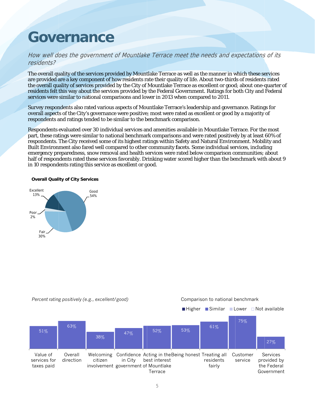### Governance

#### How well does the government of Mountlake Terrace meet the needs and expectations of its r residents?

The overall quality of the services provided by Mountlake Terrace as well as the manner in which these services are provided are a key component of how residents rate their quality of life. About two-thirds of residents rated the overall quality of services provided by the City of Mountlake Terrace as excellent or good; about one-quarter of residents felt this way about the services provided by the Federal Government. Ratings for both City and Federal services were similar to national comparisons and lower in 2013 when compared to 2011.

Survey respondents also rated various aspects of Mountlake Terrace's leadership and governance. Ratings for overall aspects of the City's governance were positive; most were rated as excellent or good by a majority of respondents and ratings tended to be similar to the benchmark comparison.

Respondents evaluated over 30 individual services and amenities available in Mountlake Terrace. For the most part, these ratings were similar to national benchmark comparisons and were rated positively by at least 60% of respondents. The City received some of its highest ratings within Safety and Natural Environment. Mobility and Built Environment also fared well compared to other community facets. Some individual services, including emergency preparedness, snow removal and health services were rated below comparison communities; about half of respondents rated these services favorably. Drinking water scored higher than the benchmark with about 9 in 10 respondents rating this service as excellent or good.

#### **Overall Quality of City Services**





*Percent rating g positively (e. g., excellent/g good)*

#### Comparison to national benchmark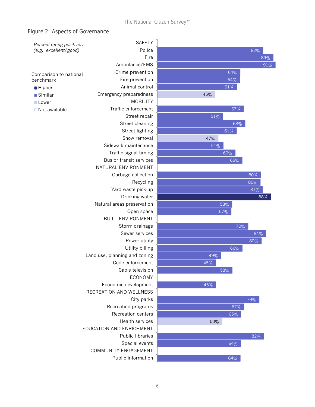#### Figure 2: Aspects of Governance

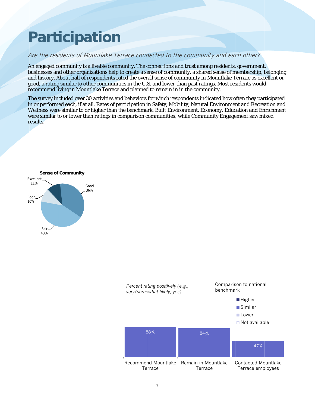# Participation

### Are the residents of Mountlake Terrace connected to the community and each other?

An engaged community is a livable community. The connections and trust among residents, government, businesses and other organizations help to create a sense of community, a shared sense of membership, belonging and history. About half of respondents rated the overall sense of community in Mountlake Terrace as excellent or good, a rating similar to other communities in the U.S. and lower than past ratings. Most residents would recommend living in Mountlake Terrace and planned to remain in in the community.

The survey included over 30 activities and behaviors for which respondents indicated how often they participated in or performed each, if at all. Rates of participation in Safety, Mobility, Natural Environment and Recreation and Wellness were similar to or higher than the benchmark. Built Environment, Economy, Education and Enrichment were similar to or lower than ratings in comparison communities, while Community Engagement saw mixed results.



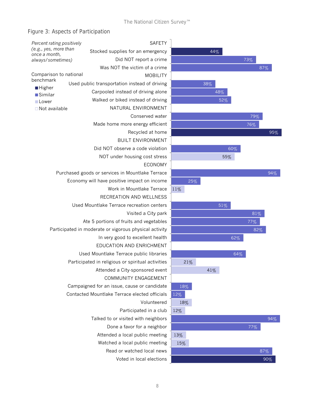### Figure 3: Aspects of Participation

| Percent rating positively                              | <b>SAFETY</b>                                     |     |
|--------------------------------------------------------|---------------------------------------------------|-----|
| (e.g., yes, more than<br>once a month,                 | Stocked supplies for an emergency                 |     |
| always/sometimes)                                      | Did NOT report a crime                            |     |
|                                                        | Was NOT the victim of a crime                     |     |
| Comparison to national                                 | <b>MOBILITY</b>                                   |     |
| benchmark<br><b>Higher</b>                             | Used public transportation instead of driving     |     |
| <b>Similar</b>                                         | Carpooled instead of driving alone                |     |
| <b>Lower</b>                                           | Walked or biked instead of driving                |     |
| $\Box$ Not available                                   | NATURAL ENVIRONMENT                               |     |
|                                                        | Conserved water                                   |     |
|                                                        | Made home more energy efficient                   |     |
|                                                        | Recycled at home                                  |     |
|                                                        | <b>BUILT ENVIRONMENT</b>                          |     |
|                                                        | Did NOT observe a code violation                  |     |
|                                                        | NOT under housing cost stress                     |     |
|                                                        | <b>ECONOMY</b>                                    |     |
| Purchased goods or services in Mountlake Terrace       |                                                   |     |
|                                                        | Economy will have positive impact on income       |     |
|                                                        | Work in Mountlake Terrace                         | 11% |
|                                                        | RECREATION AND WELLNESS                           |     |
|                                                        | Used Mountlake Terrace recreation centers         |     |
|                                                        | Visited a City park                               |     |
|                                                        | Ate 5 portions of fruits and vegetables           |     |
| Participated in moderate or vigorous physical activity |                                                   |     |
|                                                        | In very good to excellent health                  |     |
|                                                        | EDUCATION AND ENRICHMENT                          |     |
|                                                        | Used Mountlake Terrace public libraries           |     |
|                                                        | Participated in religious or spiritual activities |     |
|                                                        | Attended a City-sponsored event                   |     |
|                                                        | COMMUNITY ENGAGEMENT                              |     |
|                                                        | Campaigned for an issue, cause or candidate       | 1   |
|                                                        | Contacted Mountlake Terrace elected officials     | 12% |
|                                                        | Volunteered                                       | 1   |
|                                                        | Participated in a club                            | 12% |
|                                                        | Talked to or visited with neighbors               |     |
|                                                        | Done a favor for a neighbor                       |     |
|                                                        | Attended a local public meeting                   | 13% |
|                                                        | Watched a local public meeting                    | 15  |
|                                                        | Read or watched local news                        |     |
|                                                        | Voted in local elections                          |     |

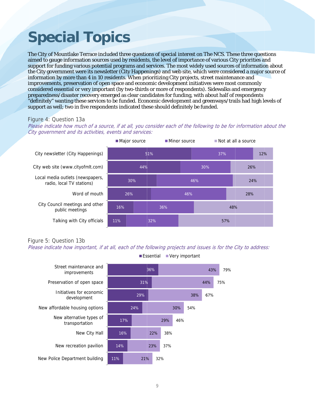# **Special Topics**

The City of Mountlake Terrace included three questions of special interest on The NCS. These three questions aimed to gauge information sources used by residents, the level of importance of various City priorities and support for funding various potential programs and services. The most widely used sources of information about the City government were its newsletter (City Happenings) and web site, which were considered a major source of information by more than 4 in 10 residents. When prioritizing City projects, street maintenance and improvements, preservation of open space and economic development initiatives were most commonly considered essential or very important (by two-thirds or more of respondents). Sidewalks and emergency preparedness/disaster recovery emerged as clear candidates for funding, with about half of respondents "definitely" wanting these services to be funded. Economic development and greenways/trails had high levels of support as well; two in five respondents indicated these should definitely be funded.

#### Figure 4: Question 13a

Please indicate how much of a source, if at all, you consider each of the following to be for information about the City government and its activities, events and services:



#### Figure 5: Question 13b

Please indicate how important, if at all, each of the following projects and issues is for the City to address:



Essential Very important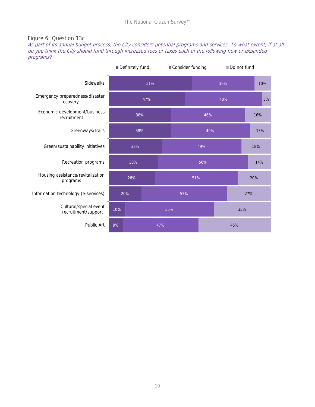### Figure 6: Question 13c

As part of its annual budget process, the City considers potential programs and services. To what extent, if at all, do you think the City should fund through increased fees or taxes each of the following new or expanded programs?

|                                               | Definitely fund |     |  |     | Consider funding |     |     | Do not fund |     |  |  |
|-----------------------------------------------|-----------------|-----|--|-----|------------------|-----|-----|-------------|-----|--|--|
| Sidewalks                                     | 51%             |     |  |     | 39%              |     |     | 10%         |     |  |  |
| Emergency preparedness/disaster<br>recovery   | 47%             |     |  |     |                  |     | 48% | 5%          |     |  |  |
| Economic development/business<br>recruitment  | 38%             |     |  |     | 46%              |     |     | 16%         |     |  |  |
| Greenways/trails                              | 38%             |     |  |     |                  | 49% |     |             | 13% |  |  |
| Green/sustainability initiatives              |                 |     |  | 49% |                  |     | 18% |             |     |  |  |
| Recreation programs                           |                 |     |  | 56% |                  |     | 14% |             |     |  |  |
| Housing assistance/revitalization<br>programs |                 | 28% |  |     | 51%              |     |     | 20%         |     |  |  |
| Information technology (e-services)           | 20%             |     |  | 53% |                  |     | 27% |             |     |  |  |
| Cultural/special event<br>recruitment/support | 10%             |     |  |     | 55%              |     |     | 35%         |     |  |  |
| Public Art                                    | 9%              |     |  | 47% |                  |     | 45% |             |     |  |  |